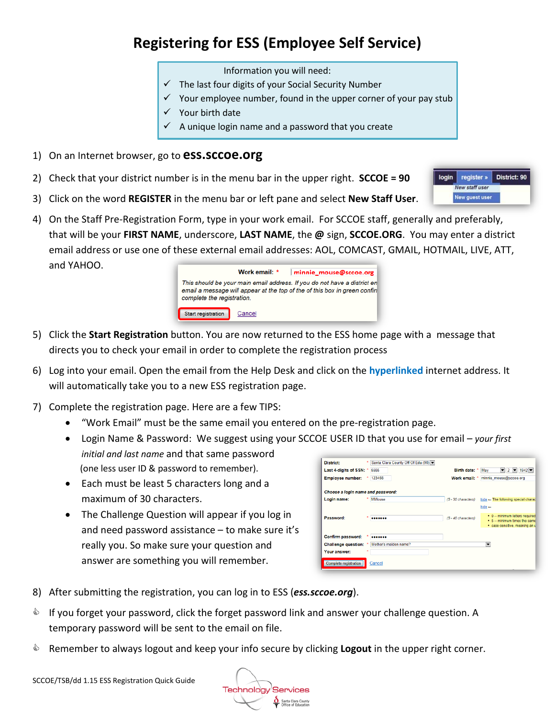## **Registering for ESS (Employee Self Service)**

Information you will need:

- $\checkmark$  The last four digits of your Social Security Number
- $\checkmark$  Your employee number, found in the upper corner of your pay stub
- $\checkmark$  Your birth date
- $\checkmark$  A unique login name and a password that you create
- 1) On an Internet browser, go to **ess.sccoe.org**
- 2) Check that your district number is in the menu bar in the upper right. **SCCOE = 90**
- 3) Click on the word **REGISTER** in the menu bar or left pane and select **New Staff User**.
- 4) On the Staff Pre-Registration Form, type in your work email. For SCCOE staff, generally and preferably, that will be your **FIRST NAME**, underscore, **LAST NAME**, the **@** sign, **SCCOE.ORG**. You may enter a district email address or use one of these external email addresses: AOL, COMCAST, GMAIL, HOTMAIL, LIVE, ATT, and YAHOO.



- 5) Click the **Start Registration** button. You are now returned to the ESS home page with a message that directs you to check your email in order to complete the registration process
- 6) Log into your email. Open the email from the Help Desk and click on the **hyperlinked** internet address. It will automatically take you to a new ESS registration page.
- 7) Complete the registration page. Here are a few TIPS:
	- "Work Email" must be the same email you entered on the pre-registration page.
	- Login Name & Password: We suggest using your SCCOE USER ID that you use for email *your first initial and last name* and that same password (one less user ID & password to remember).
	- Each must be least 5 characters long and a maximum of 30 characters.
	- The Challenge Question will appear if you log in and need password assistance – to make sure it's really you. So make sure your question and answer are something you will remember.

| <b>District:</b>                  |        | Santa Clara County Off Of Edu (90) |  |                     |                                      |                        |                                                                   |
|-----------------------------------|--------|------------------------------------|--|---------------------|--------------------------------------|------------------------|-------------------------------------------------------------------|
| Last 4-digits of SSN: *           | 5555   |                                    |  | Birth date: *       | May                                  |                        | $\bullet$ 2 $\bullet$ 1942 $\bullet$                              |
| <b>Employee number:</b>           | 123456 |                                    |  | Work email: *       |                                      | minnie mouse@sccoe.org |                                                                   |
| Choose a login name and password: |        |                                    |  |                     |                                      |                        |                                                                   |
| Login name:                       |        | <b>MMouse</b>                      |  | (5 - 30 characters) | hide - The following special charact |                        |                                                                   |
|                                   |        |                                    |  |                     | $h$ ide $-$                          |                        |                                                                   |
| Password:                         | ٠<br>  |                                    |  | (5 - 40 characters) |                                      |                        | • 0 -- minimum letters required.<br>• 5 -- minimum times the same |
|                                   |        |                                    |  |                     |                                      |                        | · case-sensitive, meaning an u                                    |
| Confirm password:                 |        |                                    |  |                     |                                      |                        |                                                                   |
| Challenge question: *             |        | Mother's maiden name?              |  |                     |                                      |                        |                                                                   |
| Your answer:                      |        |                                    |  |                     |                                      |                        |                                                                   |
| Complete registration             | Cancel |                                    |  |                     |                                      |                        |                                                                   |

- 8) After submitting the registration, you can log in to ESS (*ess.sccoe.org*).
- $\bullet$  If you forget your password, click the forget password link and answer your challenge question. A temporary password will be sent to the email on file.
- Remember to always logout and keep your info secure by clicking **Logout** in the upper right corner.

**Technology Services** Santa Clara County

register » **District: 90** login **New staff user** New guest user